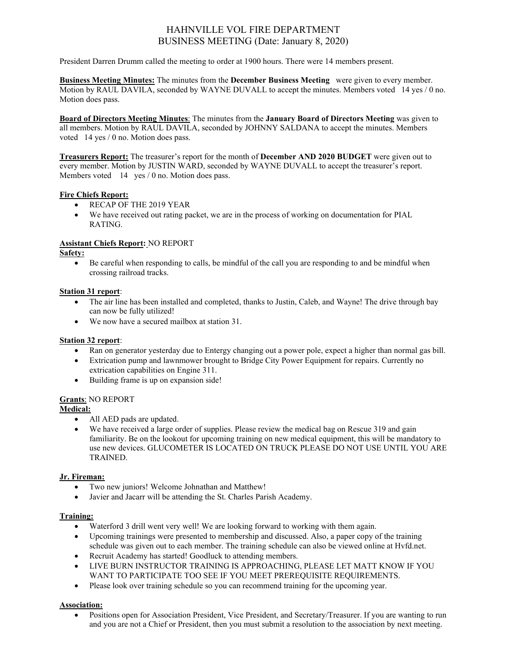# HAHNVILLE VOL FIRE DEPARTMENT BUSINESS MEETING (Date: January 8, 2020)

President Darren Drumm called the meeting to order at 1900 hours. There were 14 members present.

**Business Meeting Minutes:** The minutes from the **December Business Meeting** were given to every member. Motion by RAUL DAVILA, seconded by WAYNE DUVALL to accept the minutes. Members voted 14 yes / 0 no. Motion does pass.

**Board of Directors Meeting Minutes**: The minutes from the **January Board of Directors Meeting** was given to all members. Motion by RAUL DAVILA, seconded by JOHNNY SALDANA to accept the minutes. Members voted 14 yes / 0 no. Motion does pass.

**Treasurers Report:** The treasurer's report for the month of **December AND 2020 BUDGET** were given out to every member. Motion by JUSTIN WARD, seconded by WAYNE DUVALL to accept the treasurer's report. Members voted 14 yes / 0 no. Motion does pass.

# **Fire Chiefs Report:**

- RECAP OF THE 2019 YEAR
- We have received out rating packet, we are in the process of working on documentation for PIAL RATING.

# **Assistant Chiefs Report:** NO REPORT

# **Safety:**

• Be careful when responding to calls, be mindful of the call you are responding to and be mindful when crossing railroad tracks.

# **Station 31 report**:

- The air line has been installed and completed, thanks to Justin, Caleb, and Wayne! The drive through bay can now be fully utilized!
- We now have a secured mailbox at station 31.

# **Station 32 report**:

- Ran on generator yesterday due to Entergy changing out a power pole, expect a higher than normal gas bill.
- Extrication pump and lawnmower brought to Bridge City Power Equipment for repairs. Currently no extrication capabilities on Engine 311.
- Building frame is up on expansion side!

# **Grants**: NO REPORT

# **Medical:**

- All AED pads are updated.
- We have received a large order of supplies. Please review the medical bag on Rescue 319 and gain familiarity. Be on the lookout for upcoming training on new medical equipment, this will be mandatory to use new devices. GLUCOMETER IS LOCATED ON TRUCK PLEASE DO NOT USE UNTIL YOU ARE TRAINED.

# **Jr. Fireman:**

- Two new juniors! Welcome Johnathan and Matthew!
- Javier and Jacarr will be attending the St. Charles Parish Academy.

# **Training:**

- Waterford 3 drill went very well! We are looking forward to working with them again.
- Upcoming trainings were presented to membership and discussed. Also, a paper copy of the training schedule was given out to each member. The training schedule can also be viewed online at Hvfd.net.
- Recruit Academy has started! Goodluck to attending members.
- LIVE BURN INSTRUCTOR TRAINING IS APPROACHING, PLEASE LET MATT KNOW IF YOU WANT TO PARTICIPATE TOO SEE IF YOU MEET PREREQUISITE REQUIREMENTS.
- Please look over training schedule so you can recommend training for the upcoming year.

# **Association:**

• Positions open for Association President, Vice President, and Secretary/Treasurer. If you are wanting to run and you are not a Chief or President, then you must submit a resolution to the association by next meeting.